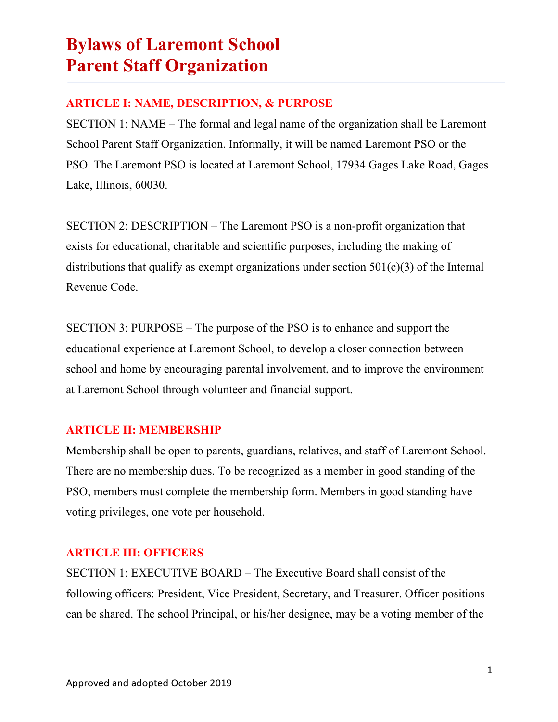### **ARTICLE I: NAME, DESCRIPTION, & PURPOSE**

SECTION 1: NAME – The formal and legal name of the organization shall be Laremont School Parent Staff Organization. Informally, it will be named Laremont PSO or the PSO. The Laremont PSO is located at Laremont School, 17934 Gages Lake Road, Gages Lake, Illinois, 60030.

SECTION 2: DESCRIPTION – The Laremont PSO is a non-profit organization that exists for educational, charitable and scientific purposes, including the making of distributions that qualify as exempt organizations under section  $501(c)(3)$  of the Internal Revenue Code.

SECTION 3: PURPOSE – The purpose of the PSO is to enhance and support the educational experience at Laremont School, to develop a closer connection between school and home by encouraging parental involvement, and to improve the environment at Laremont School through volunteer and financial support.

### **ARTICLE II: MEMBERSHIP**

Membership shall be open to parents, guardians, relatives, and staff of Laremont School. There are no membership dues. To be recognized as a member in good standing of the PSO, members must complete the membership form. Members in good standing have voting privileges, one vote per household.

### **ARTICLE III: OFFICERS**

SECTION 1: EXECUTIVE BOARD – The Executive Board shall consist of the following officers: President, Vice President, Secretary, and Treasurer. Officer positions can be shared. The school Principal, or his/her designee, may be a voting member of the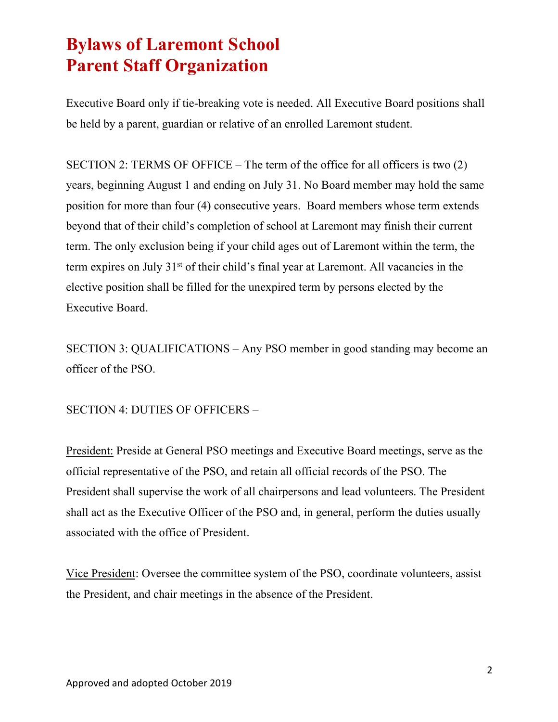Executive Board only if tie-breaking vote is needed. All Executive Board positions shall be held by a parent, guardian or relative of an enrolled Laremont student.

SECTION 2: TERMS OF OFFICE – The term of the office for all officers is two (2) years, beginning August 1 and ending on July 31. No Board member may hold the same position for more than four (4) consecutive years. Board members whose term extends beyond that of their child's completion of school at Laremont may finish their current term. The only exclusion being if your child ages out of Laremont within the term, the term expires on July 31<sup>st</sup> of their child's final year at Laremont. All vacancies in the elective position shall be filled for the unexpired term by persons elected by the Executive Board.

SECTION 3: QUALIFICATIONS – Any PSO member in good standing may become an officer of the PSO.

SECTION 4: DUTIES OF OFFICERS –

President: Preside at General PSO meetings and Executive Board meetings, serve as the official representative of the PSO, and retain all official records of the PSO. The President shall supervise the work of all chairpersons and lead volunteers. The President shall act as the Executive Officer of the PSO and, in general, perform the duties usually associated with the office of President.

Vice President: Oversee the committee system of the PSO, coordinate volunteers, assist the President, and chair meetings in the absence of the President.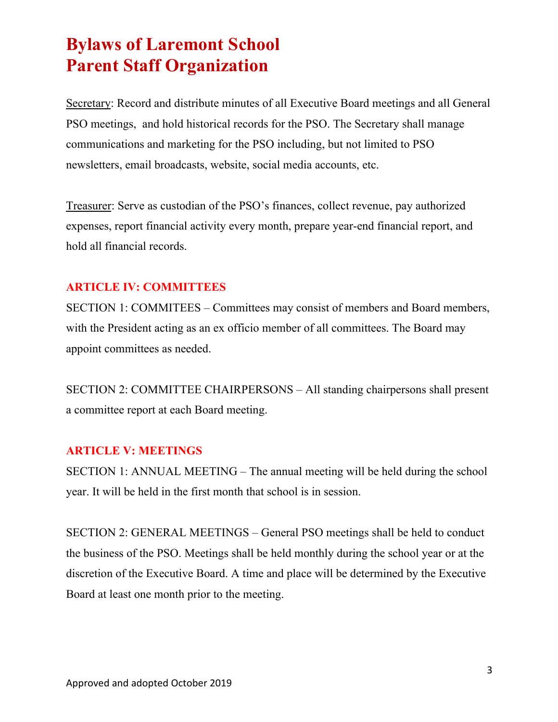Secretary: Record and distribute minutes of all Executive Board meetings and all General PSO meetings, and hold historical records for the PSO. The Secretary shall manage communications and marketing for the PSO including, but not limited to PSO newsletters, email broadcasts, website, social media accounts, etc.

Treasurer: Serve as custodian of the PSO's finances, collect revenue, pay authorized expenses, report financial activity every month, prepare year-end financial report, and hold all financial records.

#### **ARTICLE IV: COMMITTEES**

SECTION 1: COMMITEES – Committees may consist of members and Board members, with the President acting as an ex officio member of all committees. The Board may appoint committees as needed.

SECTION 2: COMMITTEE CHAIRPERSONS – All standing chairpersons shall present a committee report at each Board meeting.

#### **ARTICLE V: MEETINGS**

SECTION 1: ANNUAL MEETING – The annual meeting will be held during the school year. It will be held in the first month that school is in session.

SECTION 2: GENERAL MEETINGS – General PSO meetings shall be held to conduct the business of the PSO. Meetings shall be held monthly during the school year or at the discretion of the Executive Board. A time and place will be determined by the Executive Board at least one month prior to the meeting.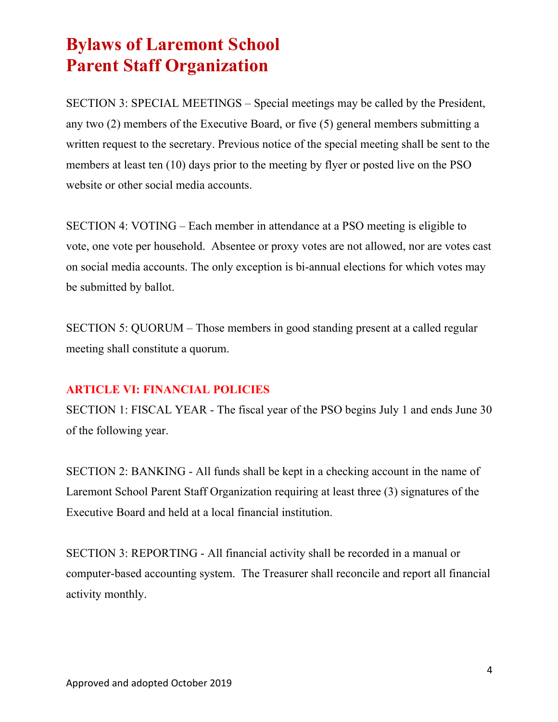SECTION 3: SPECIAL MEETINGS – Special meetings may be called by the President, any two (2) members of the Executive Board, or five (5) general members submitting a written request to the secretary. Previous notice of the special meeting shall be sent to the members at least ten (10) days prior to the meeting by flyer or posted live on the PSO website or other social media accounts.

SECTION 4: VOTING – Each member in attendance at a PSO meeting is eligible to vote, one vote per household. Absentee or proxy votes are not allowed, nor are votes cast on social media accounts. The only exception is bi-annual elections for which votes may be submitted by ballot.

SECTION 5: QUORUM – Those members in good standing present at a called regular meeting shall constitute a quorum.

#### **ARTICLE VI: FINANCIAL POLICIES**

SECTION 1: FISCAL YEAR - The fiscal year of the PSO begins July 1 and ends June 30 of the following year.

SECTION 2: BANKING - All funds shall be kept in a checking account in the name of Laremont School Parent Staff Organization requiring at least three (3) signatures of the Executive Board and held at a local financial institution.

SECTION 3: REPORTING - All financial activity shall be recorded in a manual or computer-based accounting system. The Treasurer shall reconcile and report all financial activity monthly.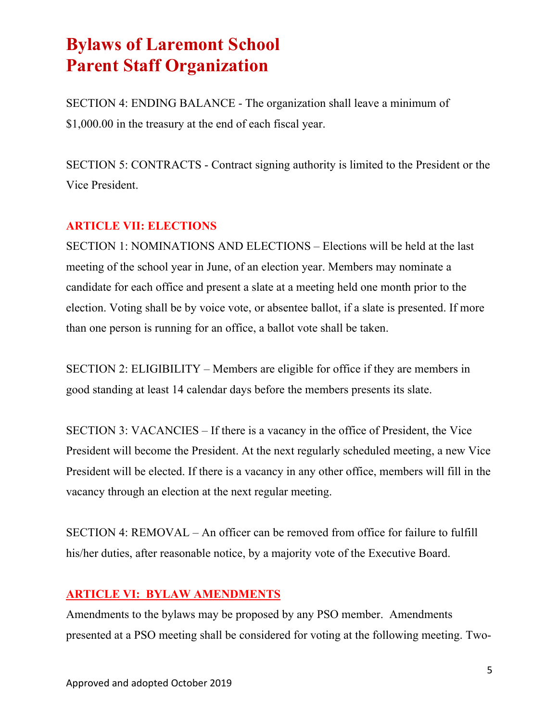SECTION 4: ENDING BALANCE - The organization shall leave a minimum of \$1,000.00 in the treasury at the end of each fiscal year.

SECTION 5: CONTRACTS - Contract signing authority is limited to the President or the Vice President.

#### **ARTICLE VII: ELECTIONS**

SECTION 1: NOMINATIONS AND ELECTIONS – Elections will be held at the last meeting of the school year in June, of an election year. Members may nominate a candidate for each office and present a slate at a meeting held one month prior to the election. Voting shall be by voice vote, or absentee ballot, if a slate is presented. If more than one person is running for an office, a ballot vote shall be taken.

SECTION 2: ELIGIBILITY – Members are eligible for office if they are members in good standing at least 14 calendar days before the members presents its slate.

SECTION 3: VACANCIES – If there is a vacancy in the office of President, the Vice President will become the President. At the next regularly scheduled meeting, a new Vice President will be elected. If there is a vacancy in any other office, members will fill in the vacancy through an election at the next regular meeting.

SECTION 4: REMOVAL – An officer can be removed from office for failure to fulfill his/her duties, after reasonable notice, by a majority vote of the Executive Board.

#### **ARTICLE VI: BYLAW AMENDMENTS**

Amendments to the bylaws may be proposed by any PSO member. Amendments presented at a PSO meeting shall be considered for voting at the following meeting. Two-